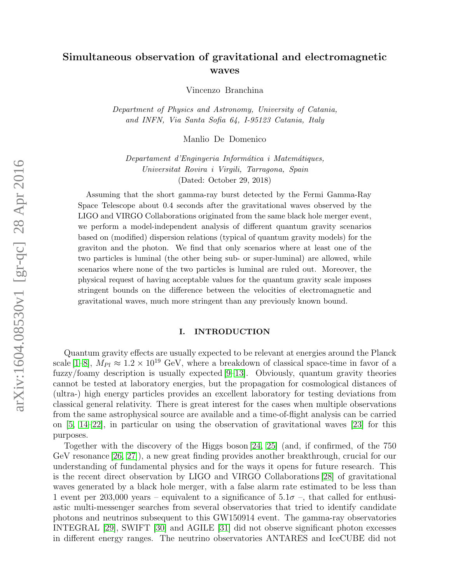# Simultaneous observation of gravitational and electromagnetic waves

Vincenzo Branchina

Department of Physics and Astronomy, University of Catania, and INFN, Via Santa Sofia 64, I-95123 Catania, Italy

Manlio De Domenico

Departament d'Enginyeria Informática i Matemátiques, Universitat Rovira i Virgili, Tarragona, Spain (Dated: October 29, 2018)

Assuming that the short gamma-ray burst detected by the Fermi Gamma-Ray Space Telescope about 0.4 seconds after the gravitational waves observed by the LIGO and VIRGO Collaborations originated from the same black hole merger event, we perform a model-independent analysis of different quantum gravity scenarios based on (modified) dispersion relations (typical of quantum gravity models) for the graviton and the photon. We find that only scenarios where at least one of the two particles is luminal (the other being sub- or super-luminal) are allowed, while scenarios where none of the two particles is luminal are ruled out. Moreover, the physical request of having acceptable values for the quantum gravity scale imposes stringent bounds on the difference between the velocities of electromagnetic and gravitational waves, much more stringent than any previously known bound.

### I. INTRODUCTION

Quantum gravity effects are usually expected to be relevant at energies around the Planck scale [\[1](#page-12-0)[–8\]](#page-12-1),  $M_{Pl} \approx 1.2 \times 10^{19}$  GeV, where a breakdown of classical space-time in favor of a fuzzy/foamy description is usually expected [\[9–](#page-12-2)[13\]](#page-12-3). Obviously, quantum gravity theories cannot be tested at laboratory energies, but the propagation for cosmological distances of (ultra-) high energy particles provides an excellent laboratory for testing deviations from classical general relativity. There is great interest for the cases when multiple observations from the same astrophysical source are available and a time-of-flight analysis can be carried on [\[5,](#page-12-4) [14](#page-12-5)[–22\]](#page-12-6), in particular on using the observation of gravitational waves [\[23\]](#page-12-7) for this purposes.

Together with the discovery of the Higgs boson [\[24,](#page-12-8) [25\]](#page-12-9) (and, if confirmed, of the 750 GeV resonance [\[26,](#page-12-10) [27\]](#page-12-11)), a new great finding provides another breakthrough, crucial for our understanding of fundamental physics and for the ways it opens for future research. This is the recent direct observation by LIGO and VIRGO Collaborations [\[28\]](#page-12-12) of gravitational waves generated by a black hole merger, with a false alarm rate estimated to be less than 1 event per 203,000 years – equivalent to a significance of  $5.1\sigma$  –, that called for enthusiastic multi-messenger searches from several observatories that tried to identify candidate photons and neutrinos subsequent to this GW150914 event. The gamma-ray observatories INTEGRAL [\[29\]](#page-12-13), SWIFT [\[30\]](#page-12-14) and AGILE [\[31\]](#page-12-15) did not observe significant photon excesses in different energy ranges. The neutrino observatories ANTARES and IceCUBE did not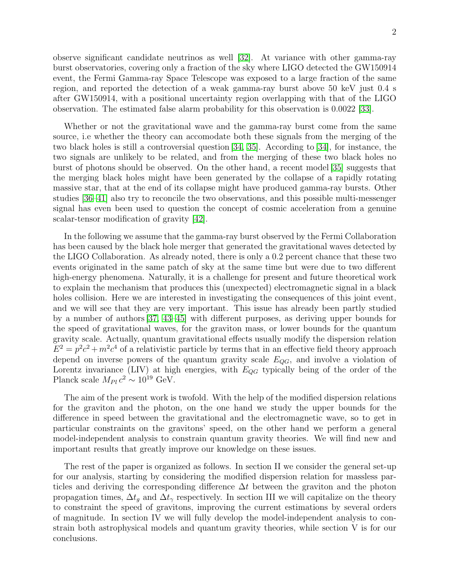observe significant candidate neutrinos as well [\[32\]](#page-12-16). At variance with other gamma-ray burst observatories, covering only a fraction of the sky where LIGO detected the GW150914 event, the Fermi Gamma-ray Space Telescope was exposed to a large fraction of the same region, and reported the detection of a weak gamma-ray burst above 50 keV just 0.4 s after GW150914, with a positional uncertainty region overlapping with that of the LIGO observation. The estimated false alarm probability for this observation is 0.0022 [\[33\]](#page-13-0).

Whether or not the gravitational wave and the gamma-ray burst come from the same source, i.e whether the theory can accomodate both these signals from the merging of the two black holes is still a controversial question [\[34,](#page-13-1) [35\]](#page-13-2). According to [\[34\]](#page-13-1), for instance, the two signals are unlikely to be related, and from the merging of these two black holes no burst of photons should be observed. On the other hand, a recent model [\[35\]](#page-13-2) suggests that the merging black holes might have been generated by the collapse of a rapidly rotating massive star, that at the end of its collapse might have produced gamma-ray bursts. Other studies [\[36–](#page-13-3)[41\]](#page-13-4) also try to reconcile the two observations, and this possible multi-messenger signal has even been used to question the concept of cosmic acceleration from a genuine scalar-tensor modification of gravity [\[42\]](#page-13-5).

In the following we assume that the gamma-ray burst observed by the Fermi Collaboration has been caused by the black hole merger that generated the gravitational waves detected by the LIGO Collaboration. As already noted, there is only a 0.2 percent chance that these two events originated in the same patch of sky at the same time but were due to two different high-energy phenomena. Naturally, it is a challenge for present and future theoretical work to explain the mechanism that produces this (unexpected) electromagnetic signal in a black holes collision. Here we are interested in investigating the consequences of this joint event, and we will see that they are very important. This issue has already been partly studied by a number of authors [\[37,](#page-13-6) [43–](#page-13-7)[45\]](#page-13-8) with different purposes, as deriving upper bounds for the speed of gravitational waves, for the graviton mass, or lower bounds for the quantum gravity scale. Actually, quantum gravitational effects usually modify the dispersion relation  $E^2 = p^2c^2 + m^2c^4$  of a relativistic particle by terms that in an effective field theory approach depend on inverse powers of the quantum gravity scale  $E_{QG}$ , and involve a violation of Lorentz invariance (LIV) at high energies, with  $E_{QG}$  typically being of the order of the Planck scale  $M_{Pl} c^2 \sim 10^{19}$  GeV.

The aim of the present work is twofold. With the help of the modified dispersion relations for the graviton and the photon, on the one hand we study the upper bounds for the difference in speed between the gravitational and the electromagnetic wave, so to get in particular constraints on the gravitons' speed, on the other hand we perform a general model-independent analysis to constrain quantum gravity theories. We will find new and important results that greatly improve our knowledge on these issues.

The rest of the paper is organized as follows. In section II we consider the general set-up for our analysis, starting by considering the modified dispersion relation for massless particles and deriving the corresponding difference  $\Delta t$  between the graviton and the photon propagation times,  $\Delta t_g$  and  $\Delta t_\gamma$  respectively. In section III we will capitalize on the theory to constraint the speed of gravitons, improving the current estimations by several orders of magnitude. In section IV we will fully develop the model-independent analysis to constrain both astrophysical models and quantum gravity theories, while section V is for our conclusions.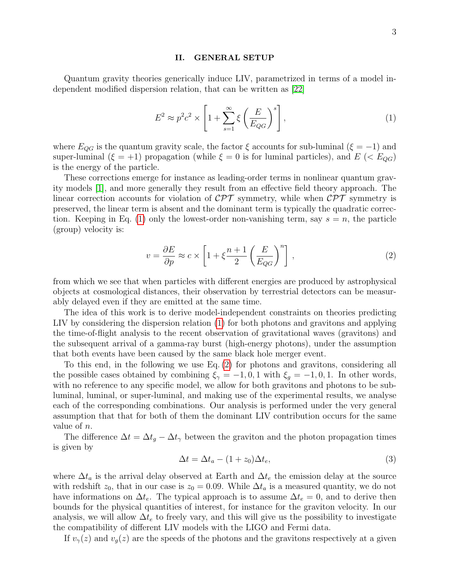#### II. GENERAL SETUP

Quantum gravity theories generically induce LIV, parametrized in terms of a model independent modified dispersion relation, that can be written as [\[22\]](#page-12-6)

<span id="page-2-0"></span>
$$
E^2 \approx p^2 c^2 \times \left[1 + \sum_{s=1}^{\infty} \xi \left(\frac{E}{E_{QG}}\right)^s\right],\tag{1}
$$

where  $E_{QG}$  is the quantum gravity scale, the factor  $\xi$  accounts for sub-luminal ( $\xi = -1$ ) and super-luminal ( $\xi = +1$ ) propagation (while  $\xi = 0$  is for luminal particles), and  $E$  (<  $E_{QG}$ ) is the energy of the particle.

These corrections emerge for instance as leading-order terms in nonlinear quantum gravity models [\[1\]](#page-12-0), and more generally they result from an effective field theory approach. The linear correction accounts for violation of  $\mathcal{CPT}$  symmetry, while when  $\mathcal{CPT}$  symmetry is preserved, the linear term is absent and the dominant term is typically the quadratic correc-tion. Keeping in Eq. [\(1\)](#page-2-0) only the lowest-order non-vanishing term, say  $s = n$ , the particle (group) velocity is:

<span id="page-2-1"></span>
$$
v = \frac{\partial E}{\partial p} \approx c \times \left[1 + \xi \frac{n+1}{2} \left(\frac{E}{E_{QG}}\right)^n\right],\tag{2}
$$

from which we see that when particles with different energies are produced by astrophysical objects at cosmological distances, their observation by terrestrial detectors can be measurably delayed even if they are emitted at the same time.

The idea of this work is to derive model-independent constraints on theories predicting LIV by considering the dispersion relation [\(1\)](#page-2-0) for both photons and gravitons and applying the time-of-flight analysis to the recent observation of gravitational waves (gravitons) and the subsequent arrival of a gamma-ray burst (high-energy photons), under the assumption that both events have been caused by the same black hole merger event.

To this end, in the following we use Eq. [\(2\)](#page-2-1) for photons and gravitons, considering all the possible cases obtained by combining  $\xi_{\gamma} = -1, 0, 1$  with  $\xi_{g} = -1, 0, 1$ . In other words, with no reference to any specific model, we allow for both gravitons and photons to be subluminal, luminal, or super-luminal, and making use of the experimental results, we analyse each of the corresponding combinations. Our analysis is performed under the very general assumption that that for both of them the dominant LIV contribution occurs for the same value of n.

The difference  $\Delta t = \Delta t_q - \Delta t_\gamma$  between the graviton and the photon propagation times is given by

<span id="page-2-2"></span>
$$
\Delta t = \Delta t_a - (1 + z_0)\Delta t_e,\tag{3}
$$

where  $\Delta t_a$  is the arrival delay observed at Earth and  $\Delta t_e$  the emission delay at the source with redshift  $z_0$ , that in our case is  $z_0 = 0.09$ . While  $\Delta t_a$  is a measured quantity, we do not have informations on  $\Delta t_e$ . The typical approach is to assume  $\Delta t_e = 0$ , and to derive then bounds for the physical quantities of interest, for instance for the graviton velocity. In our analysis, we will allow  $\Delta t_e$  to freely vary, and this will give us the possibility to investigate the compatibility of different LIV models with the LIGO and Fermi data.

If  $v_{\gamma}(z)$  and  $v_{\gamma}(z)$  are the speeds of the photons and the gravitons respectively at a given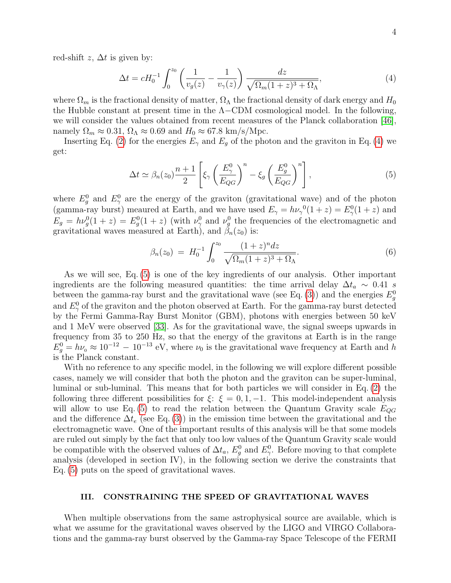red-shift  $z$ ,  $\Delta t$  is given by:

<span id="page-3-0"></span>
$$
\Delta t = cH_0^{-1} \int_0^{z_0} \left( \frac{1}{v_g(z)} - \frac{1}{v_\gamma(z)} \right) \frac{dz}{\sqrt{\Omega_m (1+z)^3 + \Omega_\Lambda}},\tag{4}
$$

where  $\Omega_m$  is the fractional density of matter,  $\Omega_{\Lambda}$  the fractional density of dark energy and  $H_0$ the Hubble constant at present time in the  $\Lambda$ -CDM cosmological model. In the following, we will consider the values obtained from recent measures of the Planck collaboration [\[46\]](#page-13-9), namely  $\Omega_m \approx 0.31$ ,  $\Omega_{\Lambda} \approx 0.69$  and  $H_0 \approx 67.8$  km/s/Mpc.

Inserting Eq. [\(2\)](#page-2-1) for the energies  $E_{\gamma}$  and  $E_g$  of the photon and the graviton in Eq. [\(4\)](#page-3-0) we get:

<span id="page-3-1"></span>
$$
\Delta t \simeq \beta_n(z_0) \frac{n+1}{2} \left[ \xi_\gamma \left( \frac{E_\gamma^0}{E_{QG}} \right)^n - \xi_g \left( \frac{E_g^0}{E_{QG}} \right)^n \right],\tag{5}
$$

where  $E_g^0$  and  $E_\gamma^0$  are the energy of the graviton (gravitational wave) and of the photon (gamma-ray burst) meaured at Earth, and we have used  $E_{\gamma} = h\nu_{\gamma}^{0}(1+z) = E_{\gamma}^{0}(1+z)$  and  $E_g = h\nu_g^0(1+z) = E_g^0(1+z)$  (with  $\nu_\gamma^0$  and  $\nu_g^0$  the frequencies of the electromagnetic and gravitational waves measured at Earth), and  $\beta_n(z_0)$  is:

<span id="page-3-2"></span>
$$
\beta_n(z_0) = H_0^{-1} \int_0^{z_0} \frac{(1+z)^n dz}{\sqrt{\Omega_m (1+z)^3 + \Omega_\Lambda}}.
$$
\n(6)

As we will see, Eq. [\(5\)](#page-3-1) is one of the key ingredients of our analysis. Other important ingredients are the following measured quantities: the time arrival delay  $\Delta t_a \sim 0.41$  s between the gamma-ray burst and the gravitational wave (see Eq. [\(3\)](#page-2-2)) and the energies  $E_g^0$ and  $E_{\gamma}^{0}$  of the graviton and the photon observed at Earth. For the gamma-ray burst detected by the Fermi Gamma-Ray Burst Monitor (GBM), photons with energies between 50 keV and 1 MeV were observed [\[33\]](#page-13-0). As for the gravitational wave, the signal sweeps upwards in frequency from 35 to 250 Hz, so that the energy of the gravitons at Earth is in the range  $E_g^0 = h\nu_{0} \approx 10^{-12} - 10^{-13}$  eV, where  $\nu_{0}$  is the gravitational wave frequency at Earth and h is the Planck constant.

With no reference to any specific model, in the following we will explore different possible cases, namely we will consider that both the photon and the graviton can be super-luminal, luminal or sub-luminal. This means that for both particles we will consider in Eq. [\(2\)](#page-2-1) the following three different possibilities for  $\xi: \xi = 0, 1, -1$ . This model-independent analysis will allow to use Eq. [\(5\)](#page-3-1) to read the relation between the Quantum Gravity scale  $E_{QG}$ and the difference  $\Delta t_e$  (see Eq. [\(3\)](#page-2-2)) in the emission time between the gravitational and the electromagnetic wave. One of the important results of this analysis will be that some models are ruled out simply by the fact that only too low values of the Quantum Gravity scale would be compatible with the observed values of  $\Delta t_a$ ,  $E_g^0$  and  $E_\gamma^0$ . Before moving to that complete analysis (developed in section IV), in the following section we derive the constraints that Eq. [\(5\)](#page-3-1) puts on the speed of gravitational waves.

#### III. CONSTRAINING THE SPEED OF GRAVITATIONAL WAVES

When multiple observations from the same astrophysical source are available, which is what we assume for the gravitational waves observed by the LIGO and VIRGO Collaborations and the gamma-ray burst observed by the Gamma-ray Space Telescope of the FERMI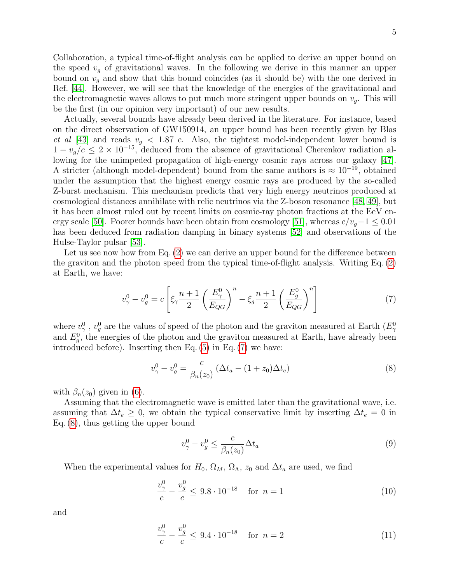Collaboration, a typical time-of-flight analysis can be applied to derive an upper bound on the speed  $v_q$  of gravitational waves. In the following we derive in this manner an upper bound on  $v<sub>q</sub>$  and show that this bound coincides (as it should be) with the one derived in Ref. [\[44\]](#page-13-10). However, we will see that the knowledge of the energies of the gravitational and the electromagnetic waves allows to put much more stringent upper bounds on  $v<sub>q</sub>$ . This will be the first (in our opinion very important) of our new results.

Actually, several bounds have already been derived in the literature. For instance, based on the direct observation of GW150914, an upper bound has been recently given by Blas et al [\[43\]](#page-13-7) and reads  $v_g < 1.87$  c. Also, the tightest model-independent lower bound is  $1 - v_q/c \leq 2 \times 10^{-15}$ , deduced from the absence of gravitational Cherenkov radiation allowing for the unimpeded propagation of high-energy cosmic rays across our galaxy [\[47\]](#page-13-11). A stricter (although model-dependent) bound from the same authors is  $\approx 10^{-19}$ , obtained under the assumption that the highest energy cosmic rays are produced by the so-called Z-burst mechanism. This mechanism predicts that very high energy neutrinos produced at cosmological distances annihilate with relic neutrinos via the Z-boson resonance [\[48,](#page-13-12) [49\]](#page-13-13), but it has been almost ruled out by recent limits on cosmic-ray photon fractions at the EeV en-ergy scale [\[50\]](#page-13-14). Poorer bounds have been obtain from cosmology [\[51\]](#page-13-15), whereas  $c/v_q-1 \leq 0.01$ has been deduced from radiation damping in binary systems [\[52\]](#page-13-16) and observations of the Hulse-Taylor pulsar [\[53\]](#page-13-17).

Let us see now how from Eq. [\(2\)](#page-2-1) we can derive an upper bound for the difference between the graviton and the photon speed from the typical time-of-flight analysis. Writing Eq. [\(2\)](#page-2-1) at Earth, we have:

<span id="page-4-0"></span>
$$
v_{\gamma}^{0} - v_{g}^{0} = c \left[ \xi_{\gamma} \frac{n+1}{2} \left( \frac{E_{\gamma}^{0}}{E_{QG}} \right)^{n} - \xi_{g} \frac{n+1}{2} \left( \frac{E_{g}^{0}}{E_{QG}} \right)^{n} \right]
$$
(7)

where  $v_{\gamma}^{0}$ ,  $v_{g}^{0}$  are the values of speed of the photon and the graviton measured at Earth  $(E_{\gamma}^{0})$ and  $E_g^0$ , the energies of the photon and the graviton measured at Earth, have already been introduced before). Inserting then Eq. [\(5\)](#page-3-1) in Eq. [\(7\)](#page-4-0) we have:

<span id="page-4-1"></span>
$$
v_{\gamma}^{0} - v_{g}^{0} = \frac{c}{\beta_{n}(z_{0})} \left( \Delta t_{a} - (1 + z_{0}) \Delta t_{e} \right)
$$
\n(8)

with  $\beta_n(z_0)$  given in [\(6\)](#page-3-2).

Assuming that the electromagnetic wave is emitted later than the gravitational wave, i.e. assuming that  $\Delta t_e \geq 0$ , we obtain the typical conservative limit by inserting  $\Delta t_e = 0$  in Eq. [\(8\)](#page-4-1), thus getting the upper bound

$$
v_{\gamma}^{0} - v_{g}^{0} \le \frac{c}{\beta_{n}(z_{0})} \Delta t_{a} \tag{9}
$$

When the experimental values for  $H_0$ ,  $\Omega_M$ ,  $\Omega_{\Lambda}$ ,  $z_0$  and  $\Delta t_a$  are used, we find

<span id="page-4-2"></span>
$$
\frac{v_{\gamma}^{0}}{c} - \frac{v_{g}^{0}}{c} \leq 9.8 \cdot 10^{-18} \quad \text{for } n = 1
$$
 (10)

and

<span id="page-4-3"></span>
$$
\frac{v_{\gamma}^{0}}{c} - \frac{v_{g}^{0}}{c} \leq 9.4 \cdot 10^{-18} \quad \text{for } n = 2
$$
 (11)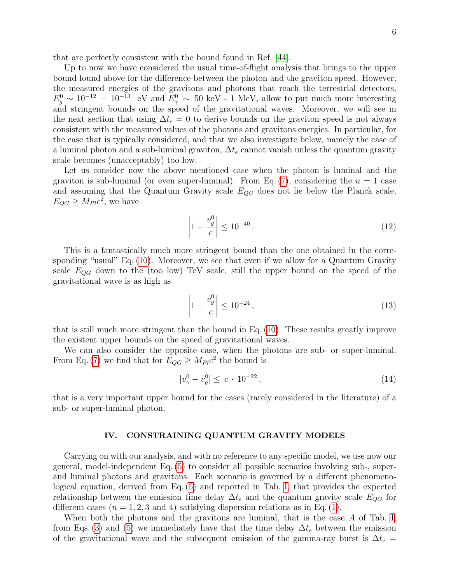that are perfectly consistent with the bound found in Ref. [\[44\]](#page-13-10).

Up to now we have considered the usual time-of-flight analysis that brings to the upper bound found above for the difference between the photon and the graviton speed. However, the measured energies of the gravitons and photons that reach the terrestrial detectors,  $E_g^0 \sim 10^{-12} - 10^{-13}$  eV and  $E_\gamma^0 \sim 50$  keV - 1 MeV, allow to put much more interesting and stringent bounds on the speed of the gravitational waves. Moreover, we will see in the next section that using  $\Delta t_e = 0$  to derive bounds on the graviton speed is not always consistent with the measured values of the photons and gravitons energies. In particular, for the case that is typically considered, and that we also investigate below, namely the case of a luminal photon and a sub-luminal graviton,  $\Delta t_e$  cannot vanish unless the quantum gravity scale becomes (unacceptably) too low.

Let us consider now the above mentioned case when the photon is luminal and the graviton is sub-luminal (or even super-luminal). From Eq. [\(7\)](#page-4-0), considering the  $n = 1$  case and assuming that the Quantum Gravity scale  $E_{QG}$  does not lie below the Planck scale,  $E_{QG} \geq M_{Pl} c^2$ , we have

<span id="page-5-0"></span>
$$
\left| 1 - \frac{v_g^0}{c} \right| \le 10^{-40} \,. \tag{12}
$$

This is a fantastically much more stringent bound than the one obtained in the corresponding "usual" Eq. [\(10\)](#page-4-2). Moreover, we see that even if we allow for a Quantum Gravity scale  $E_{QG}$  down to the (too low) TeV scale, still the upper bound on the speed of the gravitational wave is as high as

$$
\left| 1 - \frac{v_g^0}{c} \right| \le 10^{-24},\tag{13}
$$

that is still much more stringent than the bound in Eq. [\(10\)](#page-4-2). These results greatly improve the existent upper bounds on the speed of gravitational waves.

We can also consider the opposite case, when the photons are sub- or super-luminal. From Eq. [\(7\)](#page-4-0) we find that for  $E_{QG} \geq M_{Pl} c^2$  the bound is

$$
|v_{\gamma}^{0} - v_{g}^{0}| \leq c \cdot 10^{-22}, \qquad (14)
$$

that is a very important upper bound for the cases (rarely considered in the literature) of a sub- or super-luminal photon.

#### IV. CONSTRAINING QUANTUM GRAVITY MODELS

Carrying on with our analysis, and with no reference to any specific model, we use now our general, model-independent Eq. [\(5\)](#page-3-1) to consider all possible scenarios involving sub-, superand luminal photons and gravitons. Each scenario is governed by a different phenomenological equation, derived from Eq. [\(5\)](#page-3-1) and reported in Tab. [I,](#page-7-0) that provides the expected relationship between the emission time delay  $\Delta t_e$  and the quantum gravity scale  $E_{QG}$  for different cases  $(n = 1, 2, 3 \text{ and } 4)$  satisfying dispersion relations as in Eq. [\(1\)](#page-2-0).

When both the photons and the gravitons are luminal, that is the case A of Tab. [I,](#page-7-0) from Eqs. [\(3\)](#page-2-2) and [\(5\)](#page-3-1) we immediately have that the time delay  $\Delta t_e$  between the emission of the gravitational wave and the subsequent emission of the gamma-ray burst is  $\Delta t_e =$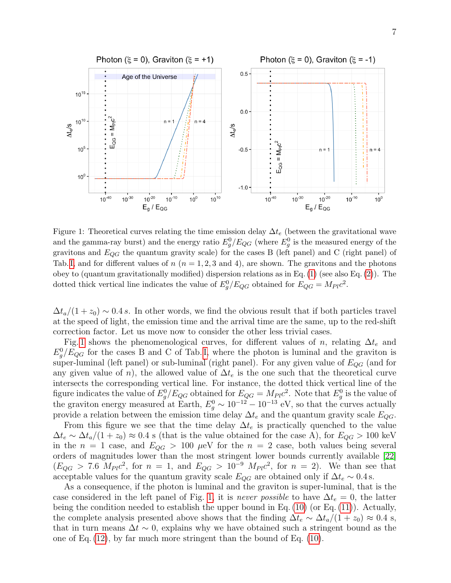

<span id="page-6-0"></span>Figure 1: Theoretical curves relating the time emission delay  $\Delta t_e$  (between the gravitational wave and the gamma-ray burst) and the energy ratio  $E_g^0/E_{QG}$  (where  $E_g^0$  is the measured energy of the gravitons and  $E_{QG}$  the quantum gravity scale) for the cases B (left panel) and C (right panel) of Tab. [I,](#page-7-0) and for different values of  $n (n = 1, 2, 3, 4)$ , are shown. The gravitons and the photons obey to (quantum gravitationally modified) dispersion relations as in Eq.  $(1)$  (see also Eq.  $(2)$ ). The dotted thick vertical line indicates the value of  $E_g^0/E_{QG}$  obtained for  $E_{QG} = M_{Pl}c^2$ .

 $\Delta t_a/(1+z_0) \sim 0.4 s$ . In other words, we find the obvious result that if both particles travel at the speed of light, the emission time and the arrival time are the same, up to the red-shift correction factor. Let us move now to consider the other less trivial cases.

Fig. [1](#page-6-0) shows the phenomenological curves, for different values of n, relating  $\Delta t_e$  and  $E_g^0/E_{QG}$  for the cases B and C of Tab. [I,](#page-7-0) where the photon is luminal and the graviton is super-luminal (left panel) or sub-luminal (right panel). For any given value of  $E_{QG}$  (and for any given value of n), the allowed value of  $\Delta t_e$  is the one such that the theoretical curve intersects the corresponding vertical line. For instance, the dotted thick vertical line of the figure indicates the value of  $E_g^0/E_{QG}$  obtained for  $E_{QG} = M_{Pl}c^2$ . Note that  $E_g^0$  is the value of the graviton energy measured at Earth,  $E_g^0 \sim 10^{-12} - 10^{-13}$  eV, so that the curves actually provide a relation between the emission time delay  $\Delta t_e$  and the quantum gravity scale  $E_{OG}$ .

From this figure we see that the time delay  $\Delta t_e$  is practically quenched to the value  $\Delta t_e \sim \Delta t_a/(1+z_0) \approx 0.4$  s (that is the value obtained for the case A), for  $E_{QG} > 100$  keV in the  $n = 1$  case, and  $E_{QG} > 100 \mu\text{eV}$  for the  $n = 2$  case, both values being several orders of magnitudes lower than the most stringent lower bounds currently available [\[22\]](#page-12-6)  $(E_{QG} > 7.6 M_{Pl}c^2$ , for  $n = 1$ , and  $E_{QG} > 10^{-9} M_{Pl}c^2$ , for  $n = 2$ ). We than see that acceptable values for the quantum gravity scale  $E_{QG}$  are obtained only if  $\Delta t_e \sim 0.4$  s.

As a consequence, if the photon is luminal and the graviton is super-luminal, that is the case considered in the left panel of Fig. [1,](#page-6-0) it is never possible to have  $\Delta t_e = 0$ , the latter being the condition needed to establish the upper bound in Eq. [\(10\)](#page-4-2) (or Eq. [\(11\)](#page-4-3)). Actually, the complete analysis presented above shows that the finding  $\Delta t_e \sim \Delta t_a/(1+z_0) \approx 0.4$  s, that in turn means  $\Delta t \sim 0$ , explains why we have obtained such a stringent bound as the one of Eq. [\(12\)](#page-5-0), by far much more stringent than the bound of Eq. [\(10\)](#page-4-2).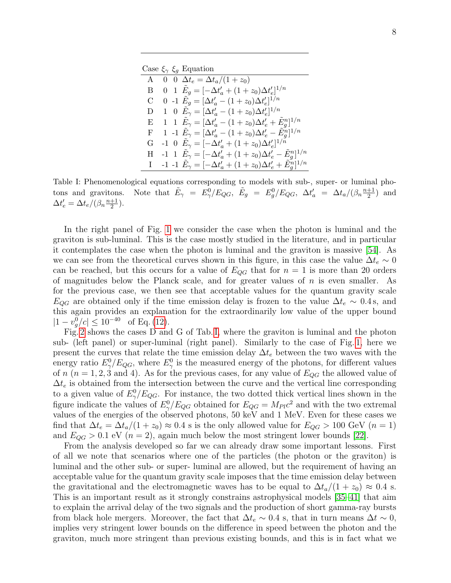Case  $\xi_{\gamma} \xi_q$  Equation

| A            | 0 0 $\Delta t_e = \Delta t_a/(1+z_0)$                                                  |
|--------------|----------------------------------------------------------------------------------------|
| B            | 0 1 $E_g = \left[-\Delta t'_a + (1+z_0)\Delta t'_e\right]^{1/n}$                       |
| U            | 0 -1 $E_g = [\Delta t'_a - (1 + z_0) \Delta t'_e]^{1/n}$                               |
| D            | 1 0 $E_{\gamma} = [\Delta t'_a - (1+z_0)\Delta t'_e]^{1/n}$                            |
| E            | 1 1 $E_{\gamma} = [\Delta t_a' - (1 + z_0)\Delta t_e' + \tilde{E}_g^n]^{1/n}$          |
| $\mathbf{F}$ | 1 -1 $E_{\gamma} = [\Delta t'_a - (1 + z_0)\Delta t'_e - \tilde{E}_q^n]^{1/n}$         |
| G            | -1 0 $E_{\gamma} = [-\Delta t_a' + (1+z_0)\Delta t_e']^{1/n}$                          |
| н            | -1 1 $E_{\gamma} = [-\Delta t_a' + (1 + z_0)\Delta t_e' - \tilde{E}_g^n]^{1/n}$        |
|              | $-1$ $-1$ $E_{\gamma} = [-\Delta t_a' + (1 + z_0)\Delta t_e' + \tilde{E}_q^{n}]^{1/n}$ |

<span id="page-7-0"></span>Table I: Phenomenological equations corresponding to models with sub-, super- or luminal photons and gravitons.  $E_{\gamma}^{0} \;\; = \;\; E_{\gamma}^{0} / E_{QG}, \;\; \tilde{E}_{g} \;\; = \;\; E_{g}^{0} / E_{QG}, \;\; \Delta t_{a}^{\prime} \;\; = \;\; \Delta t_{a} / (\beta_{n} \frac{n+1}{2})$  $\frac{+1}{2}$  and  $\Delta t_e' = \Delta t_e / (\beta_n \frac{n+1}{2})$  $\frac{+1}{2}$ ).

In the right panel of Fig. [1](#page-6-0) we consider the case when the photon is luminal and the graviton is sub-luminal. This is the case mostly studied in the literature, and in particular it contemplates the case when the photon is luminal and the graviton is massive [\[54\]](#page-13-18). As we can see from the theoretical curves shown in this figure, in this case the value  $\Delta t_e \sim 0$ can be reached, but this occurs for a value of  $E_{QG}$  that for  $n = 1$  is more than 20 orders of magnitudes below the Planck scale, and for greater values of  $n$  is even smaller. As for the previous case, we then see that acceptable values for the quantum gravity scale  $E_{QG}$  are obtained only if the time emission delay is frozen to the value  $\Delta t_e \sim 0.4$  s, and this again provides an explanation for the extraordinarily low value of the upper bound  $|1 - v_g^0/c| \le 10^{-40}$  of Eq. [\(12\)](#page-5-0).

Fig. [2](#page-8-0) shows the cases D and G of Tab. [I,](#page-7-0) where the graviton is luminal and the photon sub- (left panel) or super-luminal (right panel). Similarly to the case of Fig. [1,](#page-6-0) here we present the curves that relate the time emission delay  $\Delta t_e$  between the two waves with the energy ratio  $E_{\gamma}^{0}/E_{QG}$ , where  $E_{\gamma}^{0}$  is the measured energy of the photons, for different values of  $n (n = 1, 2, 3, 4)$ . As for the previous cases, for any value of  $E_{QG}$  the allowed value of  $\Delta t_e$  is obtained from the intersection between the curve and the vertical line corresponding to a given value of  $E_{\gamma}^{0}/E_{QG}$ . For instance, the two dotted thick vertical lines shown in the figure indicate the values of  $E_{\gamma}^{0}/E_{QG}$  obtained for  $E_{QG} = M_{Pl}c^2$  and with the two extremal values of the energies of the observed photons, 50 keV and 1 MeV. Even for these cases we find that  $\Delta t_e = \Delta t_a/(1+z_0) \approx 0.4$  s is the only allowed value for  $E_{QG} > 100$  GeV  $(n=1)$ and  $E_{QG} > 0.1$  eV  $(n = 2)$ , again much below the most stringent lower bounds [\[22\]](#page-12-6).

From the analysis developed so far we can already draw some important lessons. First of all we note that scenarios where one of the particles (the photon or the graviton) is luminal and the other sub- or super- luminal are allowed, but the requirement of having an acceptable value for the quantum gravity scale imposes that the time emission delay between the gravitational and the electromagnetic waves has to be equal to  $\Delta t_a/(1+z_0) \approx 0.4$  s. This is an important result as it strongly constrains astrophysical models [\[35–](#page-13-2)[41\]](#page-13-4) that aim to explain the arrival delay of the two signals and the production of short gamma-ray bursts from black hole mergers. Moreover, the fact that  $\Delta t_e \sim 0.4$  s, that in turn means  $\Delta t \sim 0$ , implies very stringent lower bounds on the difference in speed between the photon and the graviton, much more stringent than previous existing bounds, and this is in fact what we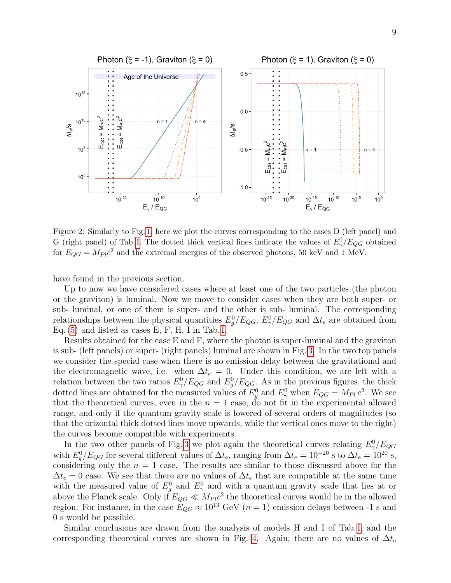

<span id="page-8-0"></span>Figure 2: Similarly to Fig. [1,](#page-6-0) here we plot the curves corresponding to the cases D (left panel) and G (right panel) of Tab. [I.](#page-7-0) The dotted thick vertical lines indicate the values of  $E_{\gamma}^0/E_{QG}$  obtained for  $E_{QG} = M_{Pl} c^2$  and the extremal energies of the observed photons, 50 keV and 1 MeV.

have found in the previous section.

Up to now we have considered cases where at least one of the two particles (the photon or the graviton) is luminal. Now we move to consider cases when they are both super- or sub- luminal, or one of them is super- and the other is sub- luminal. The corresponding relationships between the physical quantities  $E_g^0/E_{QG}$ ,  $E_\gamma^0/E_{QG}$  and  $\Delta t_e$  are obtained from Eq. [\(5\)](#page-3-1) and listed as cases E, F, H, I in Tab. [I.](#page-7-0)

Results obtained for the case E and F, where the photon is super-luminal and the graviton is sub- (left panels) or super- (right panels) luminal are shown in Fig. [3.](#page-9-0) In the two top panels we consider the special case when there is no emission delay between the gravitational and the electromagnetic wave, i.e. when  $\Delta t_e = 0$ . Under this condition, we are left with a relation between the two ratios  $E_{\gamma}^{0}/E_{QG}$  and  $E_{g}^{0}/E_{QG}$ . As in the previous figures, the thick dotted lines are obtained for the measured values of  $E_g^0$  and  $E_\gamma^0$  when  $E_{QG} = M_{Pl} c^2$ . We see that the theoretical curves, even in the  $n = 1$  case, do not fit in the experimental allowed range, and only if the quantum gravity scale is lowered of several orders of magnitudes (so that the orizontal thick dotted lines move upwards, while the vertical ones move to the right) the curves become compatible with experiments.

In the two other panels of Fig. [3](#page-9-0) we plot again the theoretical curves relating  $E_{\gamma}^0/E_{QG}$ with  $E_g^0/E_{QG}$  for several different values of  $\Delta t_e$ , ranging from  $\Delta t_e = 10^{-20}$  s to  $\Delta t_e = 10^{20}$  s, considering only the  $n = 1$  case. The results are similar to those discussed above for the  $\Delta t_e = 0$  case. We see that there are no values of  $\Delta t_e$  that are compatible at the same time with the measured value of  $E_g^0$  and  $E_\gamma^0$  and with a quantum gravity scale that lies at or above the Planck scale. Only if  $E_{QG} \ll M_{Pl}c^2$  the theoretical curves would lie in the allowed region. For instance, in the case  $E_{QG} \approx 10^{13}$  GeV ( $n = 1$ ) emission delays between -1 s and 0 s would be possible.

Similar conclusions are drawn from the analysis of models H and I of Tab. [I,](#page-7-0) and the corresponding theoretical curves are shown in Fig. [4.](#page-10-0) Again, there are no values of  $\Delta t_e$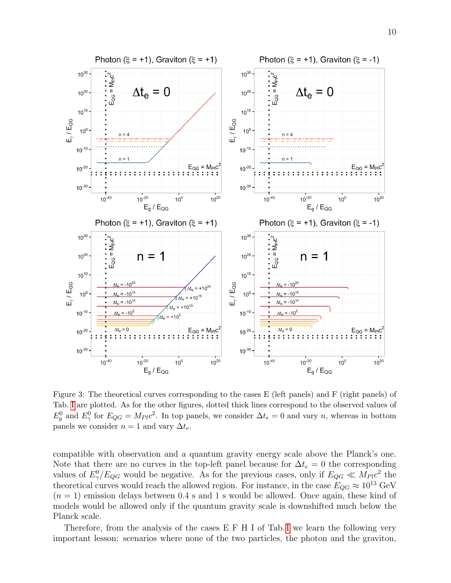

<span id="page-9-0"></span>Figure 3: The theoretical curves corresponding to the cases E (left panels) and F (right panels) of Tab. [I](#page-7-0) are plotted. As for the other figures, dotted thick lines correspond to the observed values of  $E_g^0$  and  $E_\gamma^0$  for  $E_{QG} = M_{Pl}c^2$ . In top panels, we consider  $\Delta t_e = 0$  and vary n, whereas in bottom panels we consider  $n = 1$  and vary  $\Delta t_e$ .

compatible with observation and a quantum gravity energy scale above the Planck's one. Note that there are no curves in the top-left panel because for  $\Delta t_e = 0$  the corresponding values of  $E_{\gamma}^{0}/E_{QG}$  would be negative. As for the previous cases, only if  $E_{QG} \ll M_{Pl}c^{2}$  the theoretical curves would reach the allowed region. For instance, in the case  $E_{OG} \approx 10^{13} \text{ GeV}$  $(n = 1)$  emission delays between 0.4 s and 1 s would be allowed. Once again, these kind of models would be allowed only if the quantum gravity scale is downshifted much below the Planck scale.

Therefore, from the analysis of the cases E F H [I](#page-7-0) of Tab. I we learn the following very important lesson: scenarios where none of the two particles, the photon and the graviton,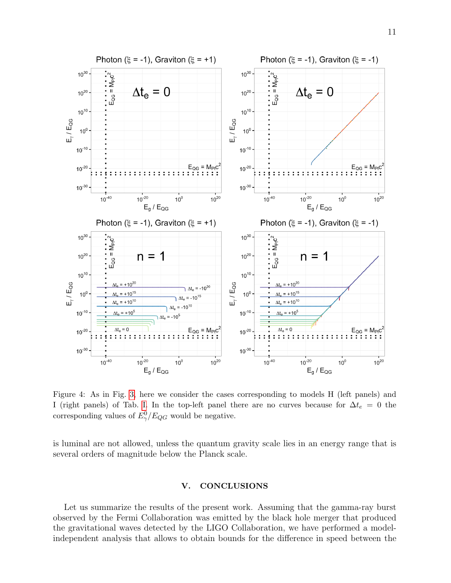

<span id="page-10-0"></span>Figure 4: As in Fig. [3,](#page-9-0) here we consider the cases corresponding to models H (left panels) and I (right panels) of Tab. [I.](#page-7-0) In the top-left panel there are no curves because for  $\Delta t_e = 0$  the corresponding values of  $E_{\gamma}^{0}/E_{QG}$  would be negative.

is luminal are not allowed, unless the quantum gravity scale lies in an energy range that is several orders of magnitude below the Planck scale.

## V. CONCLUSIONS

Let us summarize the results of the present work. Assuming that the gamma-ray burst observed by the Fermi Collaboration was emitted by the black hole merger that produced the gravitational waves detected by the LIGO Collaboration, we have performed a modelindependent analysis that allows to obtain bounds for the difference in speed between the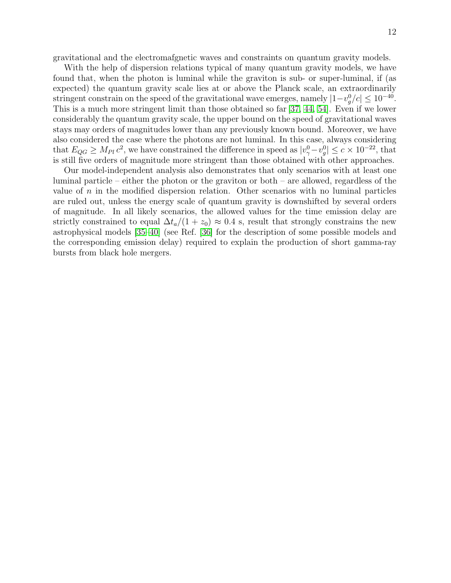gravitational and the electromafgnetic waves and constraints on quantum gravity models.

With the help of dispersion relations typical of many quantum gravity models, we have found that, when the photon is luminal while the graviton is sub- or super-luminal, if (as expected) the quantum gravity scale lies at or above the Planck scale, an extraordinarily stringent constrain on the speed of the gravitational wave emerges, namely  $|1-v_g^0/c| \leq 10^{-40}$ . This is a much more stringent limit than those obtained so far [\[37,](#page-13-6) [44,](#page-13-10) [54\]](#page-13-18). Even if we lower considerably the quantum gravity scale, the upper bound on the speed of gravitational waves stays may orders of magnitudes lower than any previously known bound. Moreover, we have also considered the case where the photons are not luminal. In this case, always considering that  $E_{QG} \geq M_{Pl} c^2$ , we have constrained the difference in speed as  $|v_\gamma^0 - v_g^0| \leq c \times 10^{-22}$ , that is still five orders of magnitude more stringent than those obtained with other approaches.

Our model-independent analysis also demonstrates that only scenarios with at least one luminal particle – either the photon or the graviton or both – are allowed, regardless of the value of  $n$  in the modified dispersion relation. Other scenarios with no luminal particles are ruled out, unless the energy scale of quantum gravity is downshifted by several orders of magnitude. In all likely scenarios, the allowed values for the time emission delay are strictly constrained to equal  $\Delta t_a/(1 + z_0) \approx 0.4$  s, result that strongly constrains the new astrophysical models [\[35](#page-13-2)[–40\]](#page-13-19) (see Ref. [\[36\]](#page-13-3) for the description of some possible models and the corresponding emission delay) required to explain the production of short gamma-ray bursts from black hole mergers.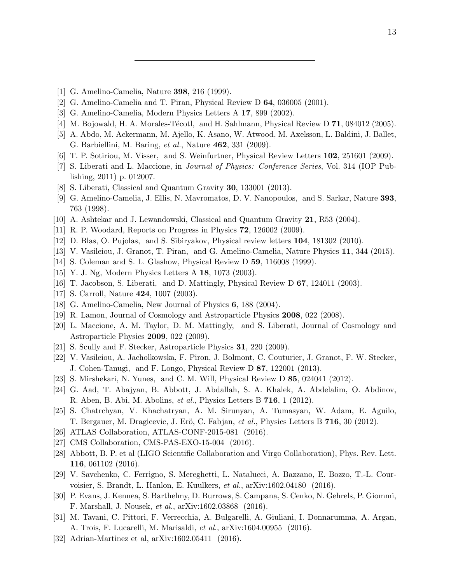- <span id="page-12-0"></span>[1] G. Amelino-Camelia, Nature 398, 216 (1999).
- [2] G. Amelino-Camelia and T. Piran, Physical Review D 64, 036005 (2001).
- [3] G. Amelino-Camelia, Modern Physics Letters A 17, 899 (2002).
- [4] M. Bojowald, H. A. Morales-Técotl, and H. Sahlmann, Physical Review D 71, 084012 (2005).
- <span id="page-12-4"></span>[5] A. Abdo, M. Ackermann, M. Ajello, K. Asano, W. Atwood, M. Axelsson, L. Baldini, J. Ballet, G. Barbiellini, M. Baring, et al., Nature 462, 331 (2009).
- [6] T. P. Sotiriou, M. Visser, and S. Weinfurtner, Physical Review Letters 102, 251601 (2009).
- [7] S. Liberati and L. Maccione, in Journal of Physics: Conference Series, Vol. 314 (IOP Publishing, 2011) p. 012007.
- <span id="page-12-1"></span>[8] S. Liberati, Classical and Quantum Gravity 30, 133001 (2013).
- <span id="page-12-2"></span>[9] G. Amelino-Camelia, J. Ellis, N. Mavromatos, D. V. Nanopoulos, and S. Sarkar, Nature 393, 763 (1998).
- [10] A. Ashtekar and J. Lewandowski, Classical and Quantum Gravity 21, R53 (2004).
- [11] R. P. Woodard, Reports on Progress in Physics 72, 126002 (2009).
- [12] D. Blas, O. Pujolas, and S. Sibiryakov, Physical review letters 104, 181302 (2010).
- <span id="page-12-3"></span>[13] V. Vasileiou, J. Granot, T. Piran, and G. Amelino-Camelia, Nature Physics 11, 344 (2015).
- <span id="page-12-5"></span>[14] S. Coleman and S. L. Glashow, Physical Review D 59, 116008 (1999).
- [15] Y. J. Ng, Modern Physics Letters A 18, 1073 (2003).
- [16] T. Jacobson, S. Liberati, and D. Mattingly, Physical Review D 67, 124011 (2003).
- [17] S. Carroll, Nature 424, 1007 (2003).
- [18] G. Amelino-Camelia, New Journal of Physics 6, 188 (2004).
- [19] R. Lamon, Journal of Cosmology and Astroparticle Physics 2008, 022 (2008).
- [20] L. Maccione, A. M. Taylor, D. M. Mattingly, and S. Liberati, Journal of Cosmology and Astroparticle Physics 2009, 022 (2009).
- [21] S. Scully and F. Stecker, Astroparticle Physics 31, 220 (2009).
- <span id="page-12-6"></span>[22] V. Vasileiou, A. Jacholkowska, F. Piron, J. Bolmont, C. Couturier, J. Granot, F. W. Stecker, J. Cohen-Tanugi, and F. Longo, Physical Review D 87, 122001 (2013).
- <span id="page-12-8"></span><span id="page-12-7"></span>[23] S. Mirshekari, N. Yunes, and C. M. Will, Physical Review D 85, 024041 (2012).
- [24] G. Aad, T. Abajyan, B. Abbott, J. Abdallah, S. A. Khalek, A. Abdelalim, O. Abdinov, R. Aben, B. Abi, M. Abolins, et al., Physics Letters B 716, 1 (2012).
- <span id="page-12-9"></span>[25] S. Chatrchyan, V. Khachatryan, A. M. Sirunyan, A. Tumasyan, W. Adam, E. Aguilo, T. Bergauer, M. Dragicevic, J. Erö, C. Fabjan, et al., Physics Letters B 716, 30 (2012).
- <span id="page-12-10"></span>[26] ATLAS Collaboration, ATLAS-CONF-2015-081 (2016).
- <span id="page-12-11"></span>[27] CMS Collaboration, CMS-PAS-EXO-15-004 (2016).
- <span id="page-12-12"></span>[28] Abbott, B. P. et al (LIGO Scientific Collaboration and Virgo Collaboration), Phys. Rev. Lett. 116, 061102 (2016).
- <span id="page-12-13"></span>[29] V. Savchenko, C. Ferrigno, S. Mereghetti, L. Natalucci, A. Bazzano, E. Bozzo, T.-L. Courvoisier, S. Brandt, L. Hanlon, E. Kuulkers, et al., arXiv:1602.04180 (2016).
- <span id="page-12-14"></span>[30] P. Evans, J. Kennea, S. Barthelmy, D. Burrows, S. Campana, S. Cenko, N. Gehrels, P. Giommi, F. Marshall, J. Nousek, et al., arXiv:1602.03868 (2016).
- <span id="page-12-15"></span>[31] M. Tavani, C. Pittori, F. Verrecchia, A. Bulgarelli, A. Giuliani, I. Donnarumma, A. Argan, A. Trois, F. Lucarelli, M. Marisaldi, et al., arXiv:1604.00955 (2016).
- <span id="page-12-16"></span>[32] Adrian-Martinez et al, arXiv:1602.05411 (2016).